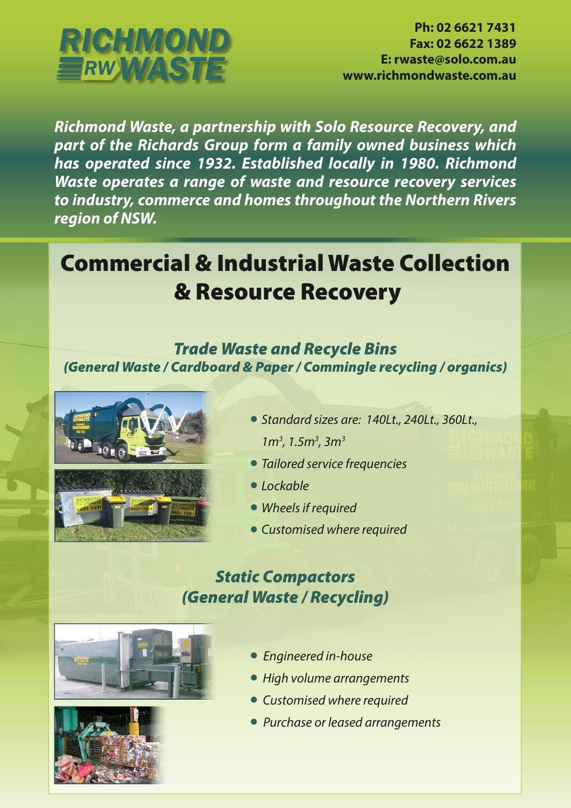

*Richmond Waste, a partnership with Solo Resource Recovery, and part of the Richards Group form a family owned business which has operated since 1932. Established locally in 1980. Richmond Waste operates a range of waste and resource recovery services to industry, commerce and homes throughout the Northern Rivers region of NSW.*

# Commercial & Industrial Waste Collection & Resource Recovery

#### *Trade Waste and Recycle Bins*

*(General Waste / Cardboard & Paper / Commingle recycling / organics)*



- *• Standard sizes are: 140Lt., 240Lt., 360Lt., 1m3 , 1.5m3 , 3m3*
- *• Tailored service frequencies*
- *• Lockable*
- *• Wheels if required*
- *• Customised where required*

#### *Static Compactors (General Waste / Recycling)*



- *Engineered in-house*
- *High volume arrangements*
- *Customised where required*
- *Purchase or leased arrangements*